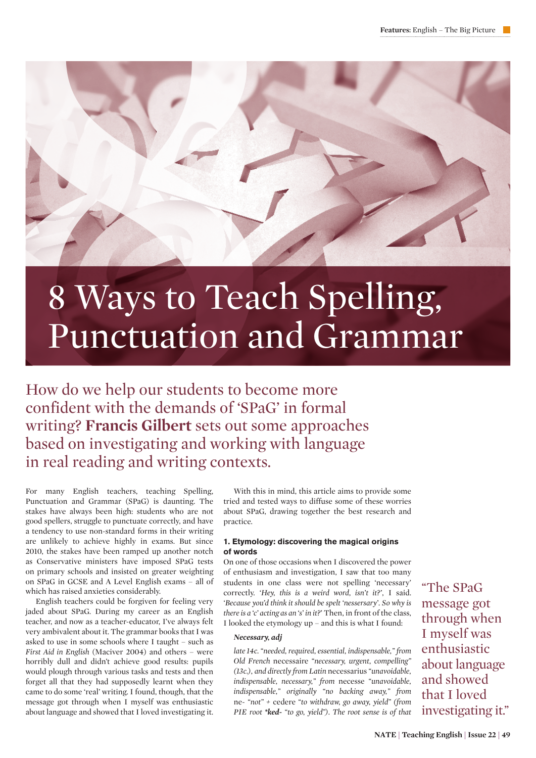

# Punctuation and Grammar

How do we help our students to become more confident with the demands of 'SPaG' in formal writing? **Francis Gilbert** sets out some approaches based on investigating and working with language in real reading and writing contexts.

For many English teachers, teaching Spelling, Punctuation and Grammar (SPaG) is daunting. The stakes have always been high: students who are not good spellers, struggle to punctuate correctly, and have a tendency to use non-standard forms in their writing are unlikely to achieve highly in exams. But since 2010, the stakes have been ramped up another notch as Conservative ministers have imposed SPaG tests on primary schools and insisted on greater weighting on SPaG in GCSE and A Level English exams – all of which has raised anxieties considerably.

English teachers could be forgiven for feeling very jaded about SPaG. During my career as an English teacher, and now as a teacher-educator, I've always felt very ambivalent about it. The grammar books that I was asked to use in some schools where I taught – such as *First Aid in English* (Maciver 2004) and others – were horribly dull and didn't achieve good results: pupils would plough through various tasks and tests and then forget all that they had supposedly learnt when they came to do some 'real' writing. I found, though, that the message got through when I myself was enthusiastic about language and showed that I loved investigating it.

With this in mind, this article aims to provide some tried and tested ways to diffuse some of these worries about SPaG, drawing together the best research and practice.

# **1. Etymology: discovering the magical origins of words**

On one of those occasions when I discovered the power of enthusiasm and investigation, I saw that too many students in one class were not spelling 'necessary' correctly. *'Hey, this is a weird word, isn't it?'*, I said. *'Because you'd think it should be spelt 'nessersary'. So why is there is a 'c' acting as an 's' in it?*' Then, in front of the class, I looked the etymology up – and this is what I found:

# *Necessary, adj*

*late 14c. "needed, required, essential, indispensable," from Old French* necessaire *"necessary, urgent, compelling" (13c.), and directly from Latin* necessarius *"unavoidable, indispensable, necessary," from* necesse *"unavoidable, indispensable," originally "no backing away," from*  ne- *"not" +* cedere *"to withdraw, go away, yield" (from PIE root \*ked- "to go, yield"). The root sense is of that* 

"The SPaG message got through when I myself was enthusiastic about language and showed that I loved investigating it."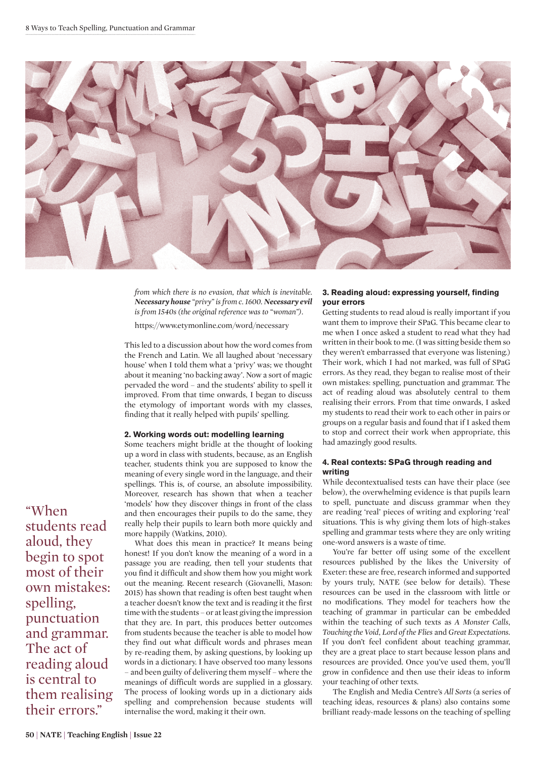

*from which there is no evasion, that which is inevitable. Necessary house "privy" is from c. 1600. Necessary evil is from 1540s (the original reference was to "woman").*

https://www.etymonline.com/word/necessary

This led to a discussion about how the word comes from the French and Latin. We all laughed about 'necessary house' when I told them what a 'privy' was; we thought about it meaning 'no backing away'. Now a sort of magic pervaded the word – and the students' ability to spell it improved. From that time onwards, I began to discuss the etymology of important words with my classes, finding that it really helped with pupils' spelling.

### **2. Working words out: modelling learning**

Some teachers might bridle at the thought of looking up a word in class with students, because, as an English teacher, students think you are supposed to know the meaning of every single word in the language, and their spellings. This is, of course, an absolute impossibility. Moreover, research has shown that when a teacher 'models' how they discover things in front of the class and then encourages their pupils to do the same, they really help their pupils to learn both more quickly and more happily (Watkins, 2010).

What does this mean in practice? It means being honest! If you don't know the meaning of a word in a passage you are reading, then tell your students that you find it difficult and show them how you might work out the meaning. Recent research (Giovanelli, Mason: 2015) has shown that reading is often best taught when a teacher doesn't know the text and is reading it the first time with the students – or at least giving the impression that they are. In part, this produces better outcomes from students because the teacher is able to model how they find out what difficult words and phrases mean by re-reading them, by asking questions, by looking up words in a dictionary. I have observed too many lessons – and been guilty of delivering them myself – where the meanings of difficult words are supplied in a glossary. The process of looking words up in a dictionary aids spelling and comprehension because students will internalise the word, making it their own.

# **3. Reading aloud: expressing yourself, finding your errors**

Getting students to read aloud is really important if you want them to improve their SPaG. This became clear to me when I once asked a student to read what they had written in their book to me. (I was sitting beside them so they weren't embarrassed that everyone was listening.) Their work, which I had not marked, was full of SPaG errors. As they read, they began to realise most of their own mistakes: spelling, punctuation and grammar. The act of reading aloud was absolutely central to them realising their errors. From that time onwards, I asked my students to read their work to each other in pairs or groups on a regular basis and found that if I asked them to stop and correct their work when appropriate, this had amazingly good results.

# **4. Real contexts: SPaG through reading and writing**

While decontextualised tests can have their place (see below), the overwhelming evidence is that pupils learn to spell, punctuate and discuss grammar when they are reading 'real' pieces of writing and exploring 'real' situations. This is why giving them lots of high-stakes spelling and grammar tests where they are only writing one-word answers is a waste of time.

You're far better off using some of the excellent resources published by the likes the University of Exeter: these are free, research informed and supported by yours truly, NATE (see below for details). These resources can be used in the classroom with little or no modifications. They model for teachers how the teaching of grammar in particular can be embedded within the teaching of such texts as *A Monster Calls*, *Touching the Void*, *Lord of the Flies* and *Great Expectations*. If you don't feel confident about teaching grammar, they are a great place to start because lesson plans and resources are provided. Once you've used them, you'll grow in confidence and then use their ideas to inform your teaching of other texts.

The English and Media Centre's *All Sorts* (a series of teaching ideas, resources & plans) also contains some brilliant ready-made lessons on the teaching of spelling

"When students read aloud, they begin to spot most of their own mistakes: spelling, punctuation and grammar. The act of reading aloud is central to them realising their errors."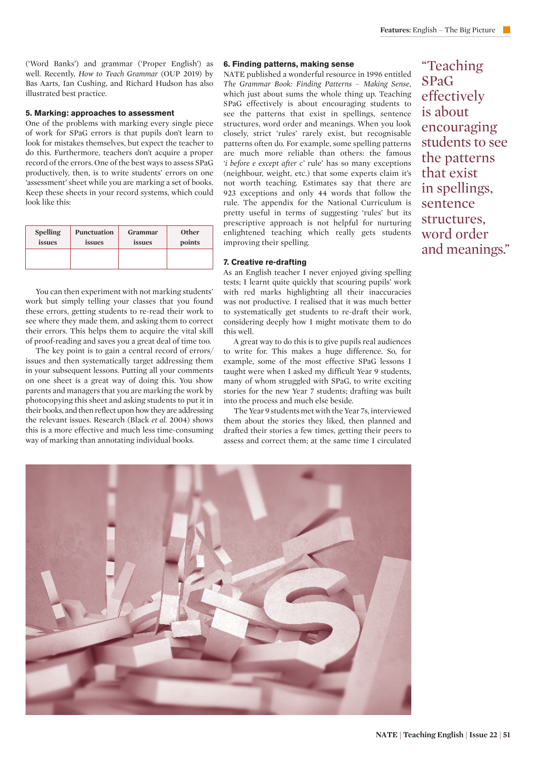('Word Banks') and grammar ('Proper English') as well. Recently, *How to Teach Grammar* (OUP 2019) by Bas Aarts, Ian Cushing, and Richard Hudson has also illustrated best practice.

### **5. Marking: approaches to assessment**

One of the problems with marking every single piece of work for SPaG errors is that pupils don't learn to look for mistakes themselves, but expect the teacher to do this. Furthermore, teachers don't acquire a proper record of the errors. One of the best ways to assess SPaG productively, then, is to write students' errors on one 'assessment' sheet while you are marking a set of books. Keep these sheets in your record systems, which could look like this:

| <b>Spelling</b> | <b>Punctuation</b> | <b>Grammar</b> | <b>Other</b> |
|-----------------|--------------------|----------------|--------------|
| issues          | issues             | issues         | points       |
|                 |                    |                |              |

You can then experiment with not marking students' work but simply telling your classes that you found these errors, getting students to re-read their work to see where they made them, and asking them to correct their errors. This helps them to acquire the vital skill of proof-reading and saves you a great deal of time too.

The key point is to gain a central record of errors/ issues and then systematically target addressing them in your subsequent lessons. Putting all your comments on one sheet is a great way of doing this. You show parents and managers that you are marking the work by photocopying this sheet and asking students to put it in their books, and then reflect upon how they are addressing the relevant issues. Research (Black *et al*. 2004) shows this is a more effective and much less time-consuming way of marking than annotating individual books.

# **6. Finding patterns, making sense**

NATE published a wonderful resource in 1996 entitled *The Grammar Book: Finding Patterns – Making Sense*, which just about sums the whole thing up. Teaching SPaG effectively is about encouraging students to see the patterns that exist in spellings, sentence structures, word order and meanings. When you look closely, strict 'rules' rarely exist, but recognisable patterns often do. For example, some spelling patterns are much more reliable than others: the famous *'i before e except after c'* rule' has so many exceptions (neighbour, weight, etc.) that some experts claim it's not worth teaching. Estimates say that there are 923 exceptions and only 44 words that follow the rule. The appendix for the National Curriculum is pretty useful in terms of suggesting 'rules' but its prescriptive approach is not helpful for nurturing enlightened teaching which really gets students improving their spelling.

## **7. Creative re-drafting**

As an English teacher I never enjoyed giving spelling tests; I learnt quite quickly that scouring pupils' work with red marks highlighting all their inaccuracies was not productive. I realised that it was much better to systematically get students to re-draft their work, considering deeply how I might motivate them to do this well.

A great way to do this is to give pupils real audiences to write for. This makes a huge difference. So, for example, some of the most effective SPaG lessons I taught were when I asked my difficult Year 9 students, many of whom struggled with SPaG, to write exciting stories for the new Year 7 students; drafting was built into the process and much else beside.

The Year 9 students met with the Year 7s, interviewed them about the stories they liked, then planned and drafted their stories a few times, getting their peers to assess and correct them; at the same time I circulated



"Teaching SPaG effectively is about encouraging students to see the patterns that exist in spellings, sentence structures, word order and meanings."